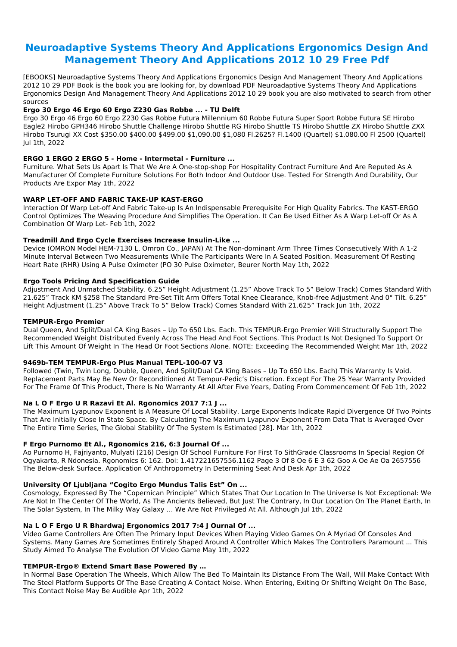# **Neuroadaptive Systems Theory And Applications Ergonomics Design And Management Theory And Applications 2012 10 29 Free Pdf**

[EBOOKS] Neuroadaptive Systems Theory And Applications Ergonomics Design And Management Theory And Applications 2012 10 29 PDF Book is the book you are looking for, by download PDF Neuroadaptive Systems Theory And Applications Ergonomics Design And Management Theory And Applications 2012 10 29 book you are also motivated to search from other sources

# **Ergo 30 Ergo 46 Ergo 60 Ergo Z230 Gas Robbe ... - TU Delft**

Ergo 30 Ergo 46 Ergo 60 Ergo Z230 Gas Robbe Futura Millennium 60 Robbe Futura Super Sport Robbe Futura SE Hirobo Eagle2 Hirobo GPH346 Hirobo Shuttle Challenge Hirobo Shuttle RG Hirobo Shuttle TS Hirobo Shuttle ZX Hirobo Shuttle ZXX Hirobo Tsurugi XX Cost \$350.00 \$400.00 \$499.00 \$1,090.00 \$1,080 Fl.2625? Fl.1400 (Quartel) \$1,080.00 Fl 2500 (Quartel) Jul 1th, 2022

# **ERGO 1 ERGO 2 ERGO 5 - Home - Intermetal - Furniture ...**

Furniture. What Sets Us Apart Is That We Are A One-stop-shop For Hospitality Contract Furniture And Are Reputed As A Manufacturer Of Complete Furniture Solutions For Both Indoor And Outdoor Use. Tested For Strength And Durability, Our Products Are Expor May 1th, 2022

# **WARP LET-OFF AND FABRIC TAKE-UP KAST-ERGO**

Interaction Of Warp Let-off And Fabric Take-up Is An Indispensable Prerequisite For High Quality Fabrics. The KAST-ERGO Control Optimizes The Weaving Procedure And Simplifies The Operation. It Can Be Used Either As A Warp Let-off Or As A Combination Of Warp Let- Feb 1th, 2022

# **Treadmill And Ergo Cycle Exercises Increase Insulin-Like ...**

Device (OMRON Model HEM-7130 L, Omron Co., JAPAN) At The Non-dominant Arm Three Times Consecutively With A 1-2 Minute Interval Between Two Measurements While The Participants Were In A Seated Position. Measurement Of Resting Heart Rate (RHR) Using A Pulse Oximeter (PO 30 Pulse Oximeter, Beurer North May 1th, 2022

# **Ergo Tools Pricing And Specification Guide**

Adjustment And Unmatched Stability. 6.25" Height Adjustment (1.25" Above Track To 5" Below Track) Comes Standard With 21.625" Track KM \$258 The Standard Pre-Set Tilt Arm Offers Total Knee Clearance, Knob-free Adjustment And 0° Tilt. 6.25" Height Adjustment (1.25" Above Track To 5" Below Track) Comes Standard With 21.625" Track Jun 1th, 2022

# **TEMPUR-Ergo Premier**

Dual Queen, And Split/Dual CA King Bases – Up To 650 Lbs. Each. This TEMPUR-Ergo Premier Will Structurally Support The Recommended Weight Distributed Evenly Across The Head And Foot Sections. This Product Is Not Designed To Support Or Lift This Amount Of Weight In The Head Or Foot Sections Alone. NOTE: Exceeding The Recommended Weight Mar 1th, 2022

# **9469b-TEM TEMPUR-Ergo Plus Manual TEPL-100-07 V3**

Followed (Twin, Twin Long, Double, Queen, And Split/Dual CA King Bases – Up To 650 Lbs. Each) This Warranty Is Void. Replacement Parts May Be New Or Reconditioned At Tempur-Pedic's Discretion. Except For The 25 Year Warranty Provided For The Frame Of This Product, There Is No Warranty At All After Five Years, Dating From Commencement Of Feb 1th, 2022

# **Na L O F Ergo U R Razavi Et Al. Rgonomics 2017 7:1 J ...**

The Maximum Lyapunov Exponent Is A Measure Of Local Stability. Large Exponents Indicate Rapid Divergence Of Two Points That Are Initially Close In State Space. By Calculating The Maximum Lyapunov Exponent From Data That Is Averaged Over The Entire Time Series, The Global Stability Of The System Is Estimated [28]. Mar 1th, 2022

# **F Ergo Purnomo Et Al., Rgonomics 216, 6:3 Journal Of ...**

Ao Purnomo H, Fajriyanto, Mulyati (216) Design Of School Furniture For First To SithGrade Classrooms In Special Region Of Ogyakarta, R Ndonesia. Rgonomics 6: 162. Doi: 1.417221657556.1162 Page 3 Of 8 Oe 6 E 3 62 Goo A Oe Ae Oa 2657556 The Below-desk Surface. Application Of Anthropometry In Determining Seat And Desk Apr 1th, 2022

# **University Of Ljubljana "Cogito Ergo Mundus Talis Est" On ...**

Cosmology, Expressed By The "Copernican Principle" Which States That Our Location In The Universe Is Not Exceptional: We Are Not In The Center Of The World, As The Ancients Believed, But Just The Contrary, In Our Location On The Planet Earth, In The Solar System, In The Milky Way Galaxy … We Are Not Privileged At All. Although Jul 1th, 2022

# **Na L O F Ergo U R Bhardwaj Ergonomics 2017 7:4 J Ournal Of ...**

Video Game Controllers Are Often The Primary Input Devices When Playing Video Games On A Myriad Of Consoles And Systems. Many Games Are Sometimes Entirely Shaped Around A Controller Which Makes The Controllers Paramount ... This Study Aimed To Analyse The Evolution Of Video Game May 1th, 2022

#### **TEMPUR-Ergo® Extend Smart Base Powered By …**

In Normal Base Operation The Wheels, Which Allow The Bed To Maintain Its Distance From The Wall, Will Make Contact With The Steel Platform Supports Of The Base Creating A Contact Noise. When Entering, Exiting Or Shifting Weight On The Base, This Contact Noise May Be Audible Apr 1th, 2022